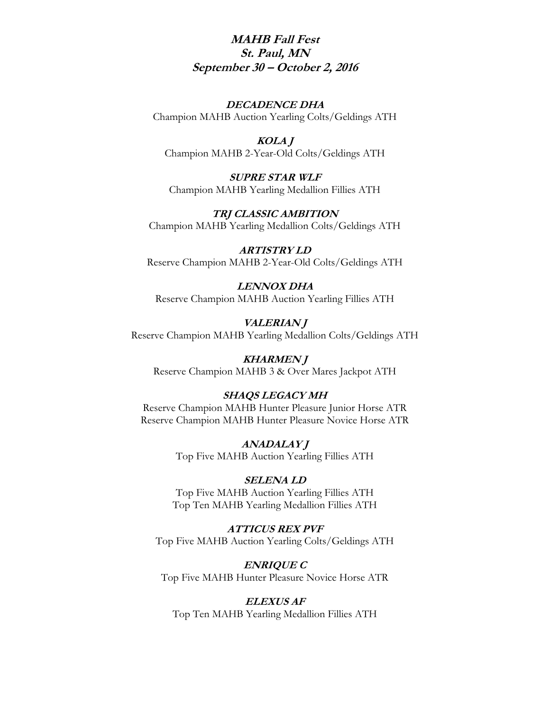# **MAHB Fall Fest St. Paul, MN September 30 – October 2, 2016**

### **DECADENCE DHA**

Champion MAHB Auction Yearling Colts/Geldings ATH

## **KOLA J**

Champion MAHB 2-Year-Old Colts/Geldings ATH

**SUPRE STAR WLF** Champion MAHB Yearling Medallion Fillies ATH

**TRJ CLASSIC AMBITION** Champion MAHB Yearling Medallion Colts/Geldings ATH

**ARTISTRY LD** Reserve Champion MAHB 2-Year-Old Colts/Geldings ATH

**LENNOX DHA** Reserve Champion MAHB Auction Yearling Fillies ATH

**VALERIAN J** Reserve Champion MAHB Yearling Medallion Colts/Geldings ATH

**KHARMEN J** Reserve Champion MAHB 3 & Over Mares Jackpot ATH

### **SHAQS LEGACY MH**

Reserve Champion MAHB Hunter Pleasure Junior Horse ATR Reserve Champion MAHB Hunter Pleasure Novice Horse ATR

> **ANADALAY J** Top Five MAHB Auction Yearling Fillies ATH

#### **SELENA LD**

Top Five MAHB Auction Yearling Fillies ATH Top Ten MAHB Yearling Medallion Fillies ATH

**ATTICUS REX PVF** Top Five MAHB Auction Yearling Colts/Geldings ATH

**ENRIQUE C** Top Five MAHB Hunter Pleasure Novice Horse ATR

#### **ELEXUS AF**

Top Ten MAHB Yearling Medallion Fillies ATH